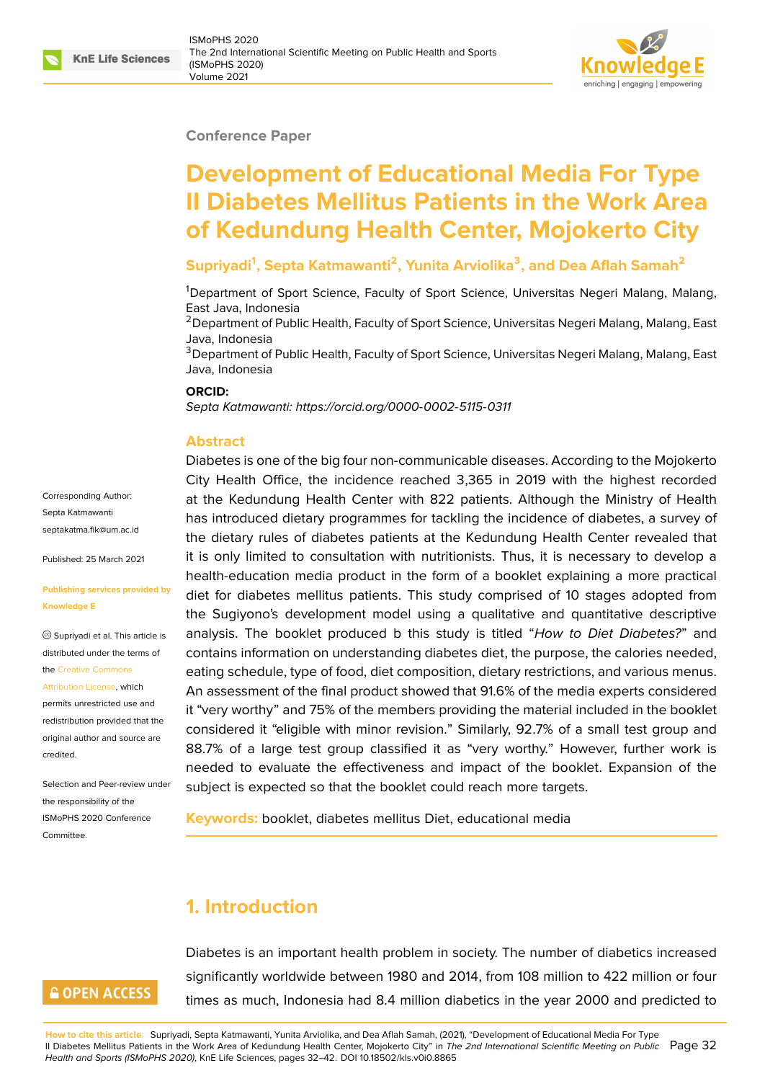#### **Conference Paper**

# **Development of Educational Media For Type II Diabetes Mellitus Patients in the Work Area of Kedundung Health Center, Mojokerto City**

## **Supriyadi<sup>1</sup> , Septa Katmawanti<sup>2</sup> , Yunita Arviolika<sup>3</sup> , and Dea Aflah Samah<sup>2</sup>**

<sup>1</sup>Department of Sport Science, Faculty of Sport Science, Universitas Negeri Malang, Malang, East Java, Indonesia

<sup>2</sup> Department of Public Health, Faculty of Sport Science, Universitas Negeri Malang, Malang, East Java, Indonesia

<sup>3</sup>Department of Public Health, Faculty of Sport Science, Universitas Negeri Malang, Malang, East Java, Indonesia

#### **ORCID:**

*Septa Katmawanti: https://orcid.org/0000-0002-5115-0311*

#### **Abstract**

Corresponding Author: Septa Katmawanti septakatma.fik@um.ac.id

Published: 25 March 2021

#### **[Publishing services prov](mailto:septakatma.fik@um.ac.id)ided by Knowledge E**

Supriyadi et al. This article is distributed under the terms of the Creative Commons

Attribution License, which

permits unrestricted use and redistribution provided that the orig[inal author and sou](https://creativecommons.org/licenses/by/4.0/)rce are [credited.](https://creativecommons.org/licenses/by/4.0/)

Selection and Peer-review under the responsibility of the ISMoPHS 2020 Conference Committee.

Diabetes is one of [the big four non-communicable dise](https://orcid.org/0000-0002-5115-0311)ases. According to the Mojokerto City Health Office, the incidence reached 3,365 in 2019 with the highest recorded at the Kedundung Health Center with 822 patients. Although the Ministry of Health has introduced dietary programmes for tackling the incidence of diabetes, a survey of the dietary rules of diabetes patients at the Kedundung Health Center revealed that it is only limited to consultation with nutritionists. Thus, it is necessary to develop a health-education media product in the form of a booklet explaining a more practical diet for diabetes mellitus patients. This study comprised of 10 stages adopted from the Sugiyono's development model using a qualitative and quantitative descriptive analysis. The booklet produced b this study is titled "*How to Diet Diabetes?*" and contains information on understanding diabetes diet, the purpose, the calories needed, eating schedule, type of food, diet composition, dietary restrictions, and various menus. An assessment of the final product showed that 91.6% of the media experts considered it "very worthy" and 75% of the members providing the material included in the booklet considered it "eligible with minor revision." Similarly, 92.7% of a small test group and 88.7% of a large test group classified it as "very worthy." However, further work is needed to evaluate the effectiveness and impact of the booklet. Expansion of the subject is expected so that the booklet could reach more targets.

**Keywords:** booklet, diabetes mellitus Diet, educational media

# **1. Introduction**

**GOPEN ACCESS** 

Diabetes is an important health problem in society. The number of diabetics increased significantly worldwide between 1980 and 2014, from 108 million to 422 million or four times as much, Indonesia had 8.4 million diabetics in the year 2000 and predicted to

**How to cite this article**: Supriyadi, Septa Katmawanti, Yunita Arviolika, and Dea Aflah Samah, (2021), "Development of Educational Media For Type II Diabetes Mellitus Patients in the Work Area of Kedundung Health Center, Mojokerto City" in *The 2nd International Scientific Meeting on Public* Page 32 *Health and Sports (ISMoPHS 2020)*, KnE Life Sciences, pages 32–42. DOI 10.18502/kls.v0i0.8865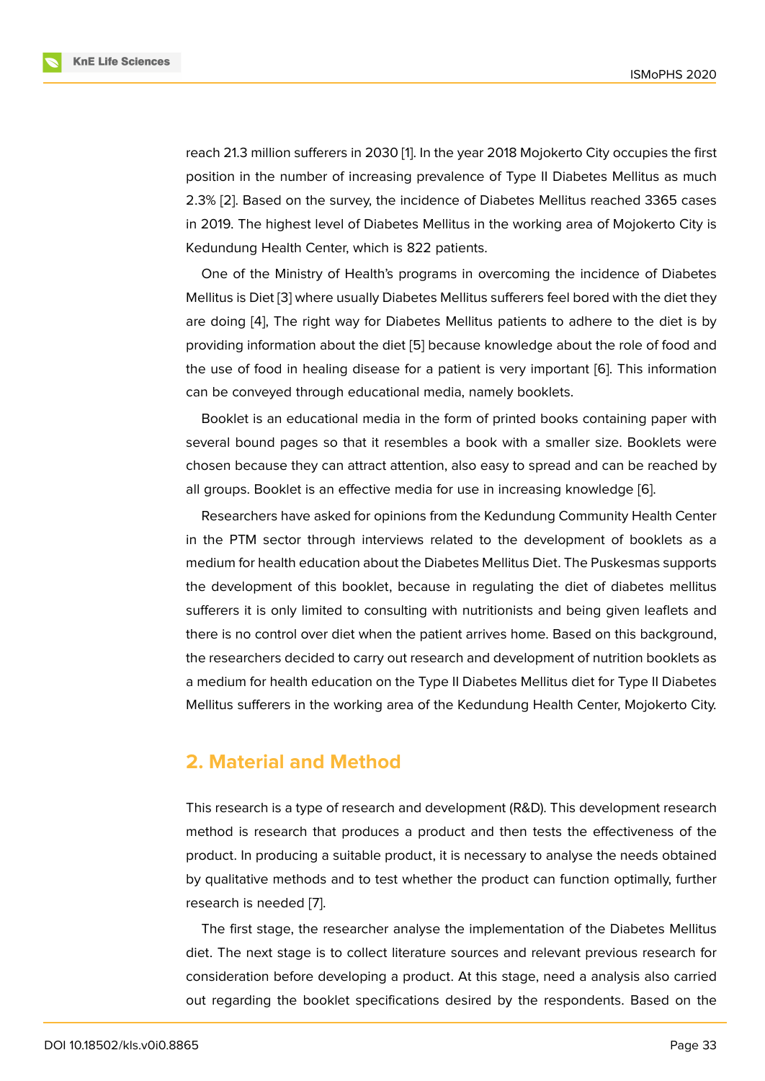reach 21.3 million sufferers in 2030 [1]. In the year 2018 Mojokerto City occupies the first position in the number of increasing prevalence of Type II Diabetes Mellitus as much 2.3% [2]. Based on the survey, the incidence of Diabetes Mellitus reached 3365 cases in 2019. The highest level of Diabet[e](#page-8-0)s Mellitus in the working area of Mojokerto City is Kedundung Health Center, which is 822 patients.

On[e](#page-8-1) of the Ministry of Health's programs in overcoming the incidence of Diabetes Mellitus is Diet [3] where usually Diabetes Mellitus sufferers feel bored with the diet they are doing [4], The right way for Diabetes Mellitus patients to adhere to the diet is by providing information about the diet [5] because knowledge about the role of food and the use of foo[d i](#page-8-2)n healing disease for a patient is very important [6]. This information can be co[nve](#page-9-0)yed through educational media, namely booklets.

Booklet is an educational media i[n t](#page-9-1)he form of printed books containing paper with several bound pages so that it resembles a book with a smaller [siz](#page-9-2)e. Booklets were chosen because they can attract attention, also easy to spread and can be reached by all groups. Booklet is an effective media for use in increasing knowledge [6].

Researchers have asked for opinions from the Kedundung Community Health Center in the PTM sector through interviews related to the development of booklets as a medium for health education about the Diabetes Mellitus Diet. The Puskes[ma](#page-9-2)s supports the development of this booklet, because in regulating the diet of diabetes mellitus sufferers it is only limited to consulting with nutritionists and being given leaflets and there is no control over diet when the patient arrives home. Based on this background, the researchers decided to carry out research and development of nutrition booklets as a medium for health education on the Type II Diabetes Mellitus diet for Type II Diabetes Mellitus sufferers in the working area of the Kedundung Health Center, Mojokerto City.

## **2. Material and Method**

This research is a type of research and development (R&D). This development research method is research that produces a product and then tests the effectiveness of the product. In producing a suitable product, it is necessary to analyse the needs obtained by qualitative methods and to test whether the product can function optimally, further research is needed [7].

The first stage, the researcher analyse the implementation of the Diabetes Mellitus diet. The next stage is to collect literature sources and relevant previous research for consideration befor[e d](#page-9-3)eveloping a product. At this stage, need a analysis also carried out regarding the booklet specifications desired by the respondents. Based on the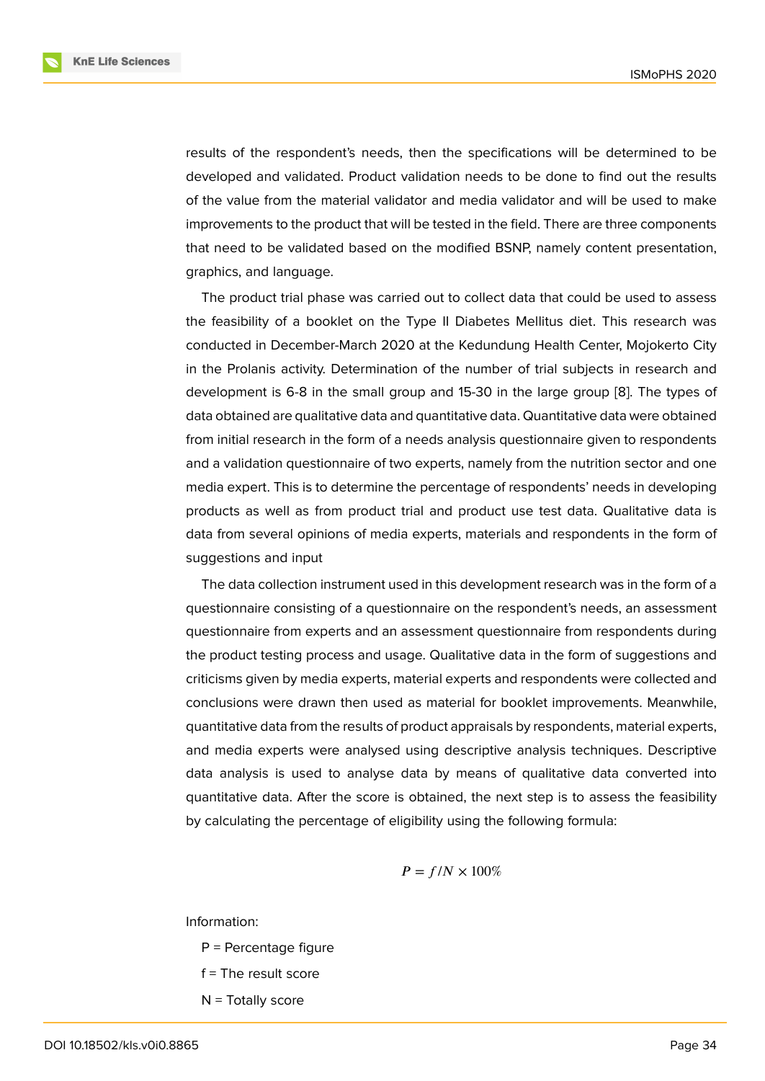results of the respondent's needs, then the specifications will be determined to be developed and validated. Product validation needs to be done to find out the results of the value from the material validator and media validator and will be used to make improvements to the product that will be tested in the field. There are three components that need to be validated based on the modified BSNP, namely content presentation, graphics, and language.

The product trial phase was carried out to collect data that could be used to assess the feasibility of a booklet on the Type II Diabetes Mellitus diet. This research was conducted in December-March 2020 at the Kedundung Health Center, Mojokerto City in the Prolanis activity. Determination of the number of trial subjects in research and development is 6-8 in the small group and 15-30 in the large group [8]. The types of data obtained are qualitative data and quantitative data. Quantitative data were obtained from initial research in the form of a needs analysis questionnaire given to respondents and a validation questionnaire of two experts, namely from the nutritio[n s](#page-9-4)ector and one media expert. This is to determine the percentage of respondents' needs in developing products as well as from product trial and product use test data. Qualitative data is data from several opinions of media experts, materials and respondents in the form of suggestions and input

The data collection instrument used in this development research was in the form of a questionnaire consisting of a questionnaire on the respondent's needs, an assessment questionnaire from experts and an assessment questionnaire from respondents during the product testing process and usage. Qualitative data in the form of suggestions and criticisms given by media experts, material experts and respondents were collected and conclusions were drawn then used as material for booklet improvements. Meanwhile, quantitative data from the results of product appraisals by respondents, material experts, and media experts were analysed using descriptive analysis techniques. Descriptive data analysis is used to analyse data by means of qualitative data converted into quantitative data. After the score is obtained, the next step is to assess the feasibility by calculating the percentage of eligibility using the following formula:

$$
P=f/N\times 100\%
$$

Information:

- P = Percentage figure
- $f =$ The result score
- $N =$  Totally score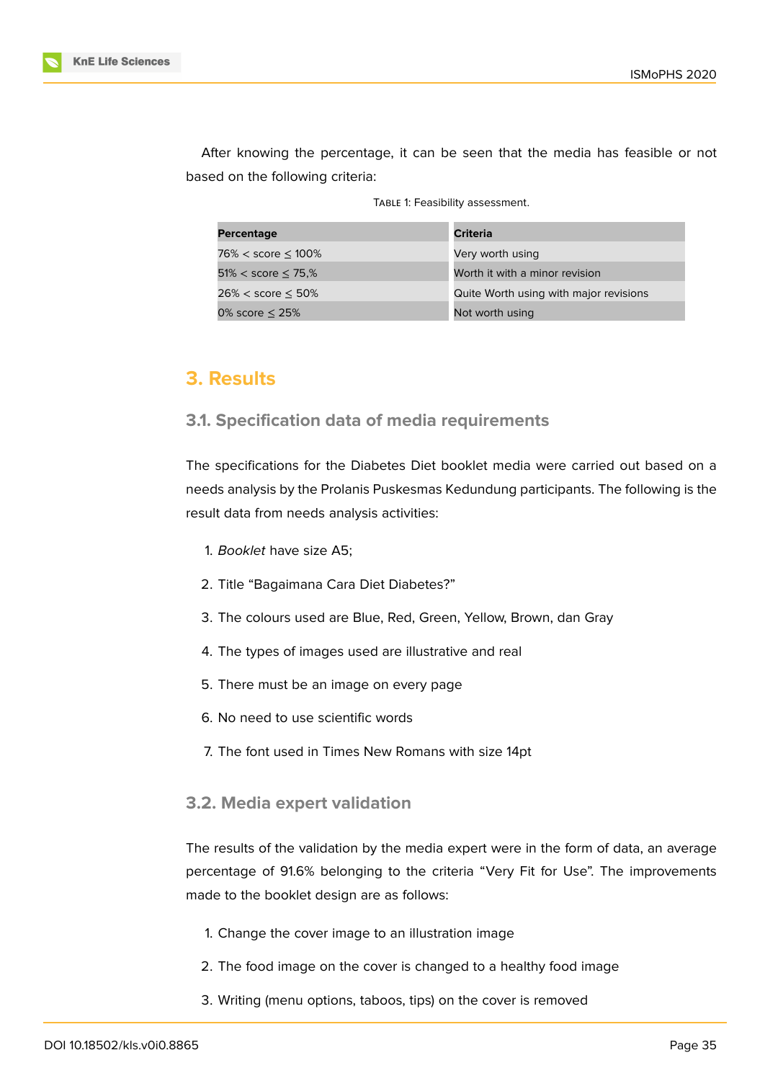

After knowing the percentage, it can be seen that the media has feasible or not based on the following criteria:

TABLE 1: Feasibility assessment.

| Percentage                  | Criteria                               |
|-----------------------------|----------------------------------------|
| $76\% <$ score $\leq 100\%$ | Very worth using                       |
| $51\% <$ score $\leq 75\%$  | Worth it with a minor revision         |
| $26\% <$ score $\leq 50\%$  | Quite Worth using with major revisions |
| 0% score $\leq$ 25%         | Not worth using                        |

# **3. Results**

## **3.1. Specification data of media requirements**

The specifications for the Diabetes Diet booklet media were carried out based on a needs analysis by the Prolanis Puskesmas Kedundung participants. The following is the result data from needs analysis activities:

- 1. *Booklet* have size A5;
- 2. Title "Bagaimana Cara Diet Diabetes?"
- 3. The colours used are Blue, Red, Green, Yellow, Brown, dan Gray
- 4. The types of images used are illustrative and real
- 5. There must be an image on every page
- 6. No need to use scientific words
- 7. The font used in Times New Romans with size 14pt

## **3.2. Media expert validation**

The results of the validation by the media expert were in the form of data, an average percentage of 91.6% belonging to the criteria "Very Fit for Use". The improvements made to the booklet design are as follows:

- 1. Change the cover image to an illustration image
- 2. The food image on the cover is changed to a healthy food image
- 3. Writing (menu options, taboos, tips) on the cover is removed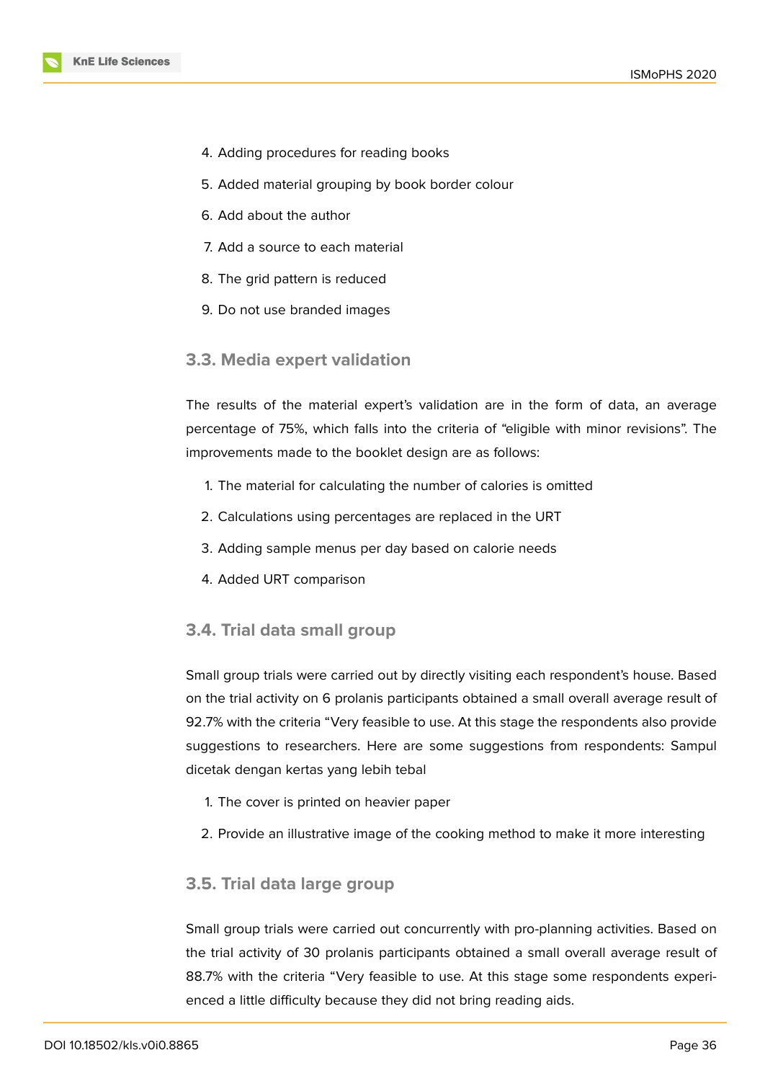- 4. Adding procedures for reading books
- 5. Added material grouping by book border colour
- 6. Add about the author
- 7. Add a source to each material
- 8. The grid pattern is reduced
- 9. Do not use branded images

#### **3.3. Media expert validation**

The results of the material expert's validation are in the form of data, an average percentage of 75%, which falls into the criteria of "eligible with minor revisions". The improvements made to the booklet design are as follows:

- 1. The material for calculating the number of calories is omitted
- 2. Calculations using percentages are replaced in the URT
- 3. Adding sample menus per day based on calorie needs
- 4. Added URT comparison

#### **3.4. Trial data small group**

Small group trials were carried out by directly visiting each respondent's house. Based on the trial activity on 6 prolanis participants obtained a small overall average result of 92.7% with the criteria "Very feasible to use. At this stage the respondents also provide suggestions to researchers. Here are some suggestions from respondents: Sampul dicetak dengan kertas yang lebih tebal

- 1. The cover is printed on heavier paper
- 2. Provide an illustrative image of the cooking method to make it more interesting

### **3.5. Trial data large group**

Small group trials were carried out concurrently with pro-planning activities. Based on the trial activity of 30 prolanis participants obtained a small overall average result of 88.7% with the criteria "Very feasible to use. At this stage some respondents experienced a little difficulty because they did not bring reading aids.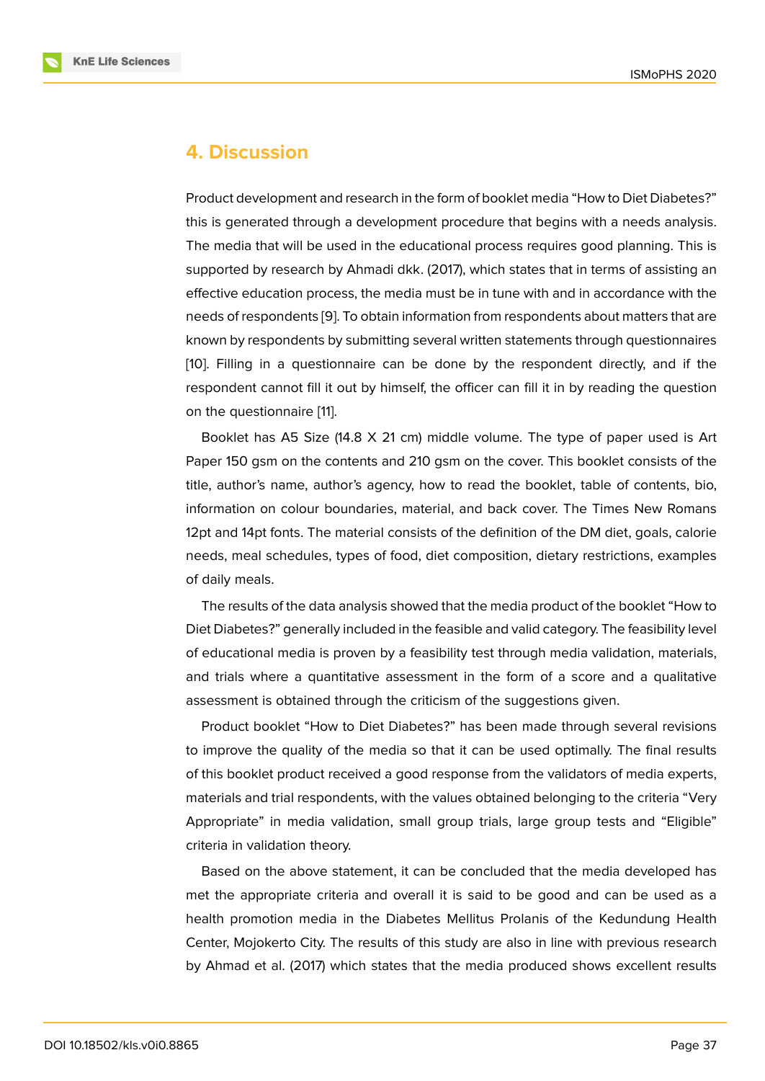# **4. Discussion**

Product development and research in the form of booklet media "How to Diet Diabetes?" this is generated through a development procedure that begins with a needs analysis. The media that will be used in the educational process requires good planning. This is supported by research by Ahmadi dkk. (2017), which states that in terms of assisting an effective education process, the media must be in tune with and in accordance with the needs of respondents [9]. To obtain information from respondents about matters that are known by respondents by submitting several written statements through questionnaires [10]. Filling in a questionnaire can be done by the respondent directly, and if the respondent cannot fill [it](#page-9-5) out by himself, the officer can fill it in by reading the question on the questionnaire [11].

[B](#page-9-6)ooklet has A5 Size (14.8 X 21 cm) middle volume. The type of paper used is Art Paper 150 gsm on the contents and 210 gsm on the cover. This booklet consists of the title, author's name, a[ut](#page-9-7)hor's agency, how to read the booklet, table of contents, bio, information on colour boundaries, material, and back cover. The Times New Romans 12pt and 14pt fonts. The material consists of the definition of the DM diet, goals, calorie needs, meal schedules, types of food, diet composition, dietary restrictions, examples of daily meals.

The results of the data analysis showed that the media product of the booklet "How to Diet Diabetes?" generally included in the feasible and valid category. The feasibility level of educational media is proven by a feasibility test through media validation, materials, and trials where a quantitative assessment in the form of a score and a qualitative assessment is obtained through the criticism of the suggestions given.

Product booklet "How to Diet Diabetes?" has been made through several revisions to improve the quality of the media so that it can be used optimally. The final results of this booklet product received a good response from the validators of media experts, materials and trial respondents, with the values obtained belonging to the criteria "Very Appropriate" in media validation, small group trials, large group tests and "Eligible" criteria in validation theory.

Based on the above statement, it can be concluded that the media developed has met the appropriate criteria and overall it is said to be good and can be used as a health promotion media in the Diabetes Mellitus Prolanis of the Kedundung Health Center, Mojokerto City. The results of this study are also in line with previous research by Ahmad et al. (2017) which states that the media produced shows excellent results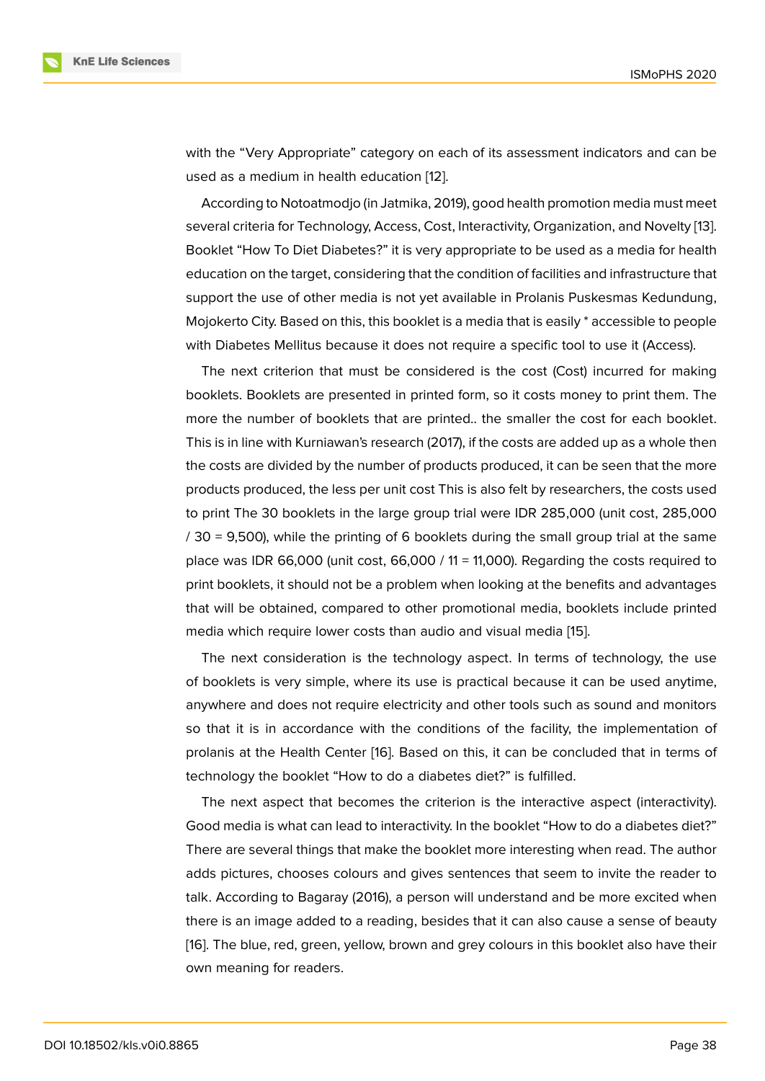with the "Very Appropriate" category on each of its assessment indicators and can be used as a medium in health education [12].

According to Notoatmodjo (in Jatmika, 2019), good health promotion media must meet several criteria for Technology, Access, Cost, Interactivity, Organization, and Novelty [13]. Booklet "How To Diet Diabetes?" it is v[ery](#page-9-8) appropriate to be used as a media for health education on the target, considering that the condition of facilities and infrastructure that support the use of other media is not yet available in Prolanis Puskesmas Kedund[ung](#page-9-9), Mojokerto City. Based on this, this booklet is a media that is easily \* accessible to people with Diabetes Mellitus because it does not require a specific tool to use it (Access).

The next criterion that must be considered is the cost (Cost) incurred for making booklets. Booklets are presented in printed form, so it costs money to print them. The more the number of booklets that are printed.. the smaller the cost for each booklet. This is in line with Kurniawan's research (2017), if the costs are added up as a whole then the costs are divided by the number of products produced, it can be seen that the more products produced, the less per unit cost This is also felt by researchers, the costs used to print The 30 booklets in the large group trial were IDR 285,000 (unit cost, 285,000 / 30 = 9,500), while the printing of 6 booklets during the small group trial at the same place was IDR 66,000 (unit cost, 66,000 / 11 = 11,000). Regarding the costs required to print booklets, it should not be a problem when looking at the benefits and advantages that will be obtained, compared to other promotional media, booklets include printed media which require lower costs than audio and visual media [15].

The next consideration is the technology aspect. In terms of technology, the use of booklets is very simple, where its use is practical because it can be used anytime, anywhere and does not require electricity and other tools suc[h as](#page-9-10) sound and monitors so that it is in accordance with the conditions of the facility, the implementation of prolanis at the Health Center [16]. Based on this, it can be concluded that in terms of technology the booklet "How to do a diabetes diet?" is fulfilled.

The next aspect that becomes the criterion is the interactive aspect (interactivity). Good media is what can lead t[o in](#page-9-11)teractivity. In the booklet "How to do a diabetes diet?" There are several things that make the booklet more interesting when read. The author adds pictures, chooses colours and gives sentences that seem to invite the reader to talk. According to Bagaray (2016), a person will understand and be more excited when there is an image added to a reading, besides that it can also cause a sense of beauty [16]. The blue, red, green, yellow, brown and grey colours in this booklet also have their own meaning for readers.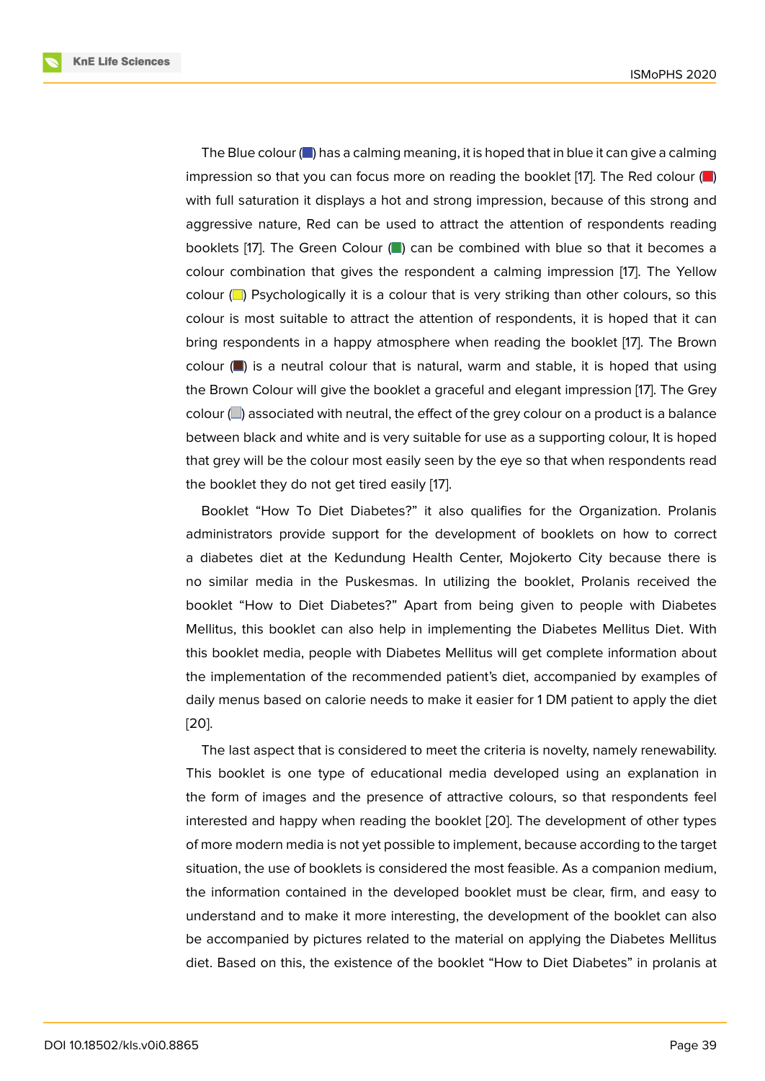The Blue colour  $\Box$  has a calming meaning, it is hoped that in blue it can give a calming impression so that you can focus more on reading the booklet [17]. The Red colour  $\Box$ ) with full saturation it displays a hot and strong impression, because of this strong and aggressive nature, Red can be used to attract the attention of respondents reading booklets [17]. The Green Colour  $(\blacksquare)$  can be combined with blue so that it becomes a colour combination that gives the respondent a calming impression [17]. The Yellow colour  $\Box$  Psychologically it is a colour that is very striking than other colours, so this colour is most suitable to attract the attention of respondents, it is hoped that it can bring respondents in a happy atmosphere when reading the booklet [17]. The Brown colour  $(\blacksquare)$  is a neutral colour that is natural, warm and stable, it is hoped that using the Brown Colour will give the booklet a graceful and elegant impression [17]. The Grey colour  $\Box$ ) associated with neutral, the effect of the grey colour on a product is a balance between black and white and is very suitable for use as a supporting colour, It is hoped that grey will be the colour most easily seen by the eye so that when respondents read the booklet they do not get tired easily [17].

Booklet "How To Diet Diabetes?" it also qualifies for the Organization. Prolanis administrators provide support for the development of booklets on how to correct a diabetes diet at the Kedundung He[alth](#page-10-0) Center, Mojokerto City because there is no similar media in the Puskesmas. In utilizing the booklet, Prolanis received the booklet "How to Diet Diabetes?" Apart from being given to people with Diabetes Mellitus, this booklet can also help in implementing the Diabetes Mellitus Diet. With this booklet media, people with Diabetes Mellitus will get complete information about the implementation of the recommended patient's diet, accompanied by examples of daily menus based on calorie needs to make it easier for 1 DM patient to apply the diet [20].

The last aspect that is considered to meet the criteria is novelty, namely renewability. This booklet is one type of educational media developed using an explanation in [the](#page-10-1) form of images and the presence of attractive colours, so that respondents feel interested and happy when reading the booklet [20]. The development of other types of more modern media is not yet possible to implement, because according to the target situation, the use of booklets is considered the most feasible. As a companion medium, the information contained in the developed boo[kle](#page-10-1)t must be clear, firm, and easy to understand and to make it more interesting, the development of the booklet can also be accompanied by pictures related to the material on applying the Diabetes Mellitus diet. Based on this, the existence of the booklet "How to Diet Diabetes" in prolanis at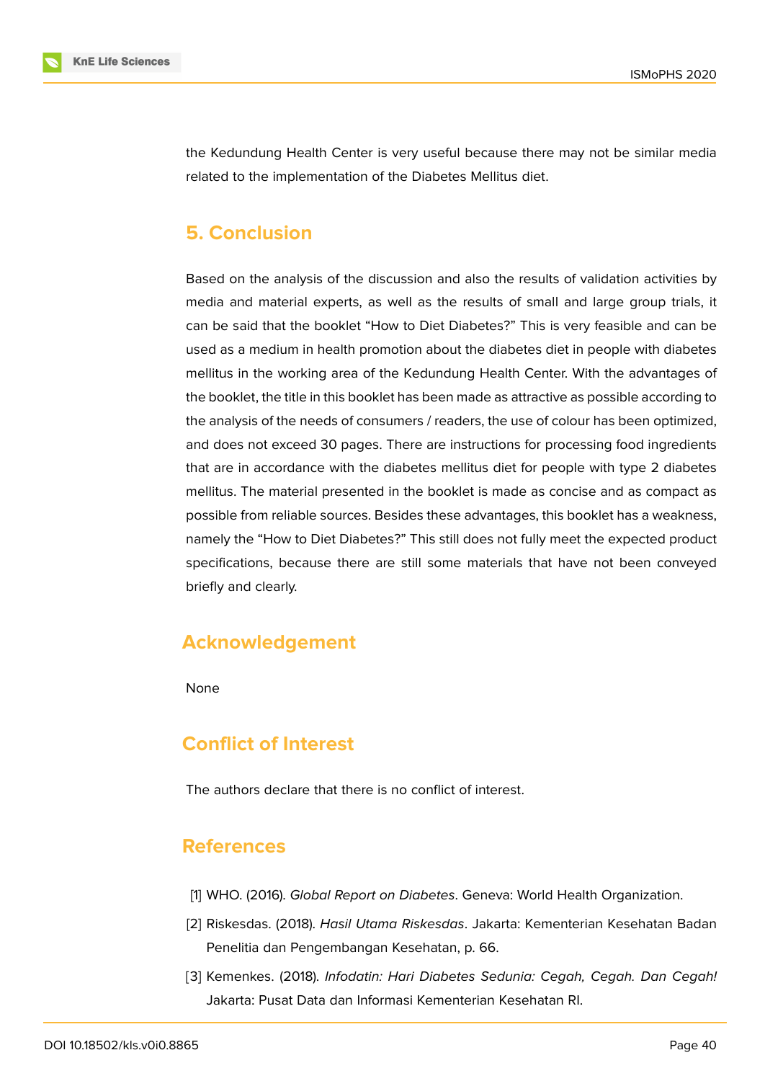

the Kedundung Health Center is very useful because there may not be similar media related to the implementation of the Diabetes Mellitus diet.

# **5. Conclusion**

Based on the analysis of the discussion and also the results of validation activities by media and material experts, as well as the results of small and large group trials, it can be said that the booklet "How to Diet Diabetes?" This is very feasible and can be used as a medium in health promotion about the diabetes diet in people with diabetes mellitus in the working area of the Kedundung Health Center. With the advantages of the booklet, the title in this booklet has been made as attractive as possible according to the analysis of the needs of consumers / readers, the use of colour has been optimized, and does not exceed 30 pages. There are instructions for processing food ingredients that are in accordance with the diabetes mellitus diet for people with type 2 diabetes mellitus. The material presented in the booklet is made as concise and as compact as possible from reliable sources. Besides these advantages, this booklet has a weakness, namely the "How to Diet Diabetes?" This still does not fully meet the expected product specifications, because there are still some materials that have not been conveyed briefly and clearly.

# **Acknowledgement**

None

# **Conflict of Interest**

The authors declare that there is no conflict of interest.

## **References**

- <span id="page-8-0"></span>[1] WHO. (2016). *Global Report on Diabetes*. Geneva: World Health Organization.
- <span id="page-8-1"></span>[2] Riskesdas. (2018). *Hasil Utama Riskesdas*. Jakarta: Kementerian Kesehatan Badan Penelitia dan Pengembangan Kesehatan, p. 66.
- <span id="page-8-2"></span>[3] Kemenkes. (2018). *Infodatin: Hari Diabetes Sedunia: Cegah, Cegah. Dan Cegah!* Jakarta: Pusat Data dan Informasi Kementerian Kesehatan RI.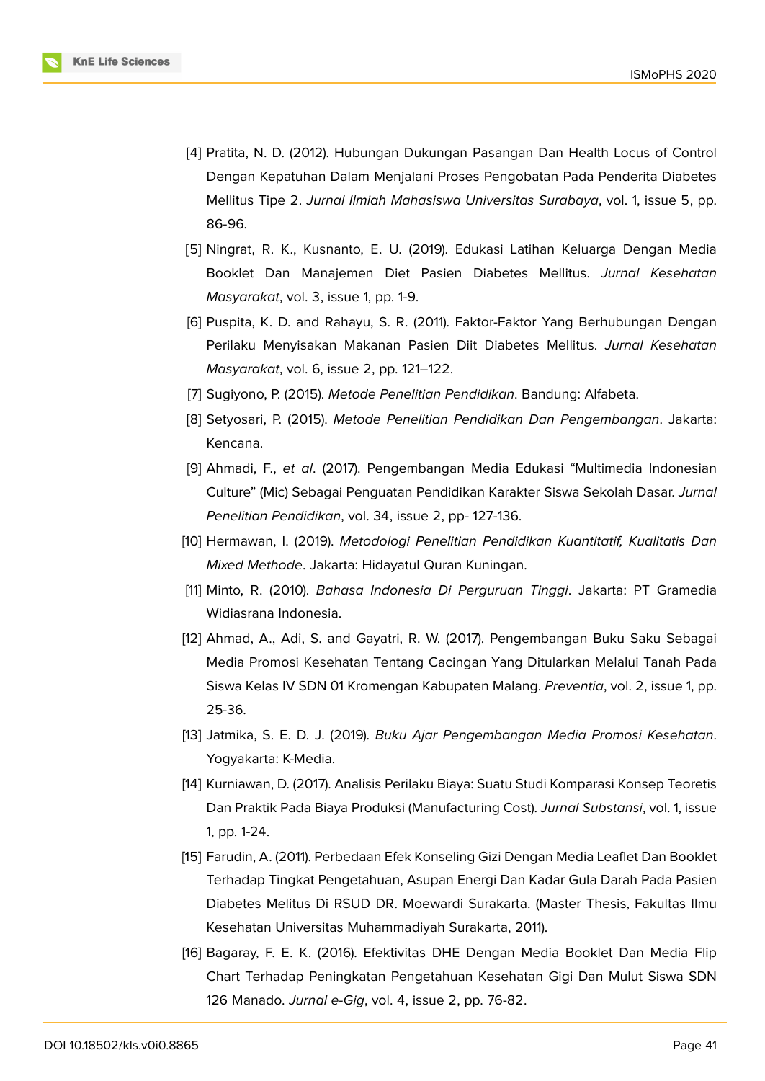

- <span id="page-9-0"></span>[4] Pratita, N. D. (2012). Hubungan Dukungan Pasangan Dan Health Locus of Control Dengan Kepatuhan Dalam Menjalani Proses Pengobatan Pada Penderita Diabetes Mellitus Tipe 2. *Jurnal Ilmiah Mahasiswa Universitas Surabaya*, vol. 1, issue 5, pp. 86-96.
- <span id="page-9-1"></span>[5] Ningrat, R. K., Kusnanto, E. U. (2019). Edukasi Latihan Keluarga Dengan Media Booklet Dan Manajemen Diet Pasien Diabetes Mellitus. *Jurnal Kesehatan Masyarakat*, vol. 3, issue 1, pp. 1-9.
- <span id="page-9-2"></span>[6] Puspita, K. D. and Rahayu, S. R. (2011). Faktor-Faktor Yang Berhubungan Dengan Perilaku Menyisakan Makanan Pasien Diit Diabetes Mellitus. *Jurnal Kesehatan Masyarakat*, vol. 6, issue 2, pp. 121–122.
- <span id="page-9-4"></span><span id="page-9-3"></span>[7] Sugiyono, P. (2015). *Metode Penelitian Pendidikan*. Bandung: Alfabeta.
- [8] Setyosari, P. (2015). *Metode Penelitian Pendidikan Dan Pengembangan*. Jakarta: Kencana.
- <span id="page-9-5"></span>[9] Ahmadi, F., *et al*. (2017). Pengembangan Media Edukasi "Multimedia Indonesian Culture" (Mic) Sebagai Penguatan Pendidikan Karakter Siswa Sekolah Dasar. *Jurnal Penelitian Pendidikan*, vol. 34, issue 2, pp- 127-136.
- <span id="page-9-6"></span>[10] Hermawan, I. (2019). *Metodologi Penelitian Pendidikan Kuantitatif, Kualitatis Dan Mixed Methode*. Jakarta: Hidayatul Quran Kuningan.
- <span id="page-9-7"></span>[11] Minto, R. (2010). *Bahasa Indonesia Di Perguruan Tinggi*. Jakarta: PT Gramedia Widiasrana Indonesia.
- <span id="page-9-8"></span>[12] Ahmad, A., Adi, S. and Gayatri, R. W. (2017). Pengembangan Buku Saku Sebagai Media Promosi Kesehatan Tentang Cacingan Yang Ditularkan Melalui Tanah Pada Siswa Kelas IV SDN 01 Kromengan Kabupaten Malang. *Preventia*, vol. 2, issue 1, pp. 25-36.
- <span id="page-9-9"></span>[13] Jatmika, S. E. D. J. (2019). *Buku Ajar Pengembangan Media Promosi Kesehatan*. Yogyakarta: K-Media.
- [14] Kurniawan, D. (2017). Analisis Perilaku Biaya: Suatu Studi Komparasi Konsep Teoretis Dan Praktik Pada Biaya Produksi (Manufacturing Cost). *Jurnal Substansi*, vol. 1, issue 1, pp. 1-24.
- <span id="page-9-10"></span>[15] Farudin, A. (2011). Perbedaan Efek Konseling Gizi Dengan Media Leaflet Dan Booklet Terhadap Tingkat Pengetahuan, Asupan Energi Dan Kadar Gula Darah Pada Pasien Diabetes Melitus Di RSUD DR. Moewardi Surakarta. (Master Thesis, Fakultas Ilmu Kesehatan Universitas Muhammadiyah Surakarta, 2011).
- <span id="page-9-11"></span>[16] Bagaray, F. E. K. (2016). Efektivitas DHE Dengan Media Booklet Dan Media Flip Chart Terhadap Peningkatan Pengetahuan Kesehatan Gigi Dan Mulut Siswa SDN 126 Manado. *Jurnal e-Gig*, vol. 4, issue 2, pp. 76-82.